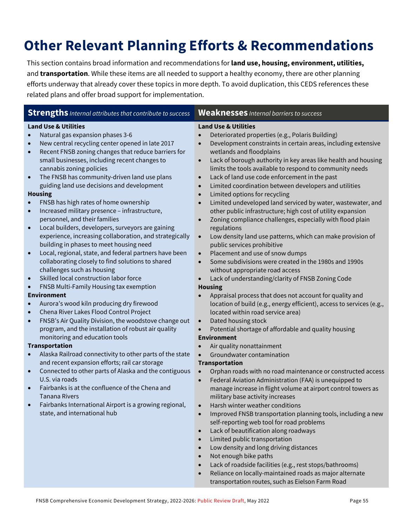# **Other Relevant Planning Efforts & Recommendations**

This section contains broad information and recommendations for **land use, housing, environment, utilities,**  and **transportation**. While these items are all needed to support a healthy economy, there are other planning efforts underway that already cover these topics in more depth. To avoid duplication, this CEDS references these related plans and offer broad support for implementation.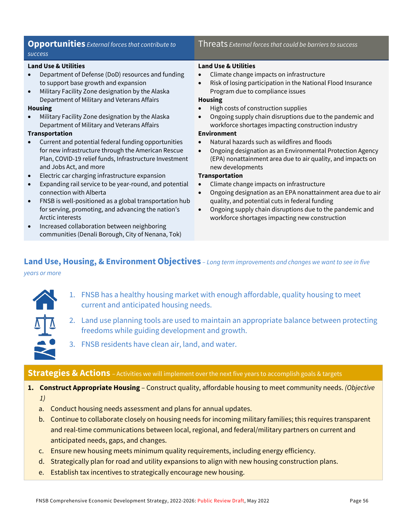### **Opportunities** *External forces that contribute to success*

#### **Land Use & Utilities**

- Department of Defense (DoD) resources and funding to support base growth and expansion
- Military Facility Zone designation by the Alaska Department of Military and Veterans Affairs

#### **Housing**

• Military Facility Zone designation by the Alaska Department of Military and Veterans Affairs

#### **Transportation**

- Current and potential federal funding opportunities for new infrastructure through the American Rescue Plan, COVID-19 relief funds, Infrastructure Investment and Jobs Act, and more
- Electric car charging infrastructure expansion
- Expanding rail service to be year-round, and potential connection with Alberta
- FNSB is well-positioned as a global transportation hub for serving, promoting, and advancing the nation's Arctic interests
- Increased collaboration between neighboring communities (Denali Borough, City of Nenana, Tok)

#### Threats *External forces that could be barriers to success*

#### **Land Use & Utilities**

- Climate change impacts on infrastructure
- Risk of losing participation in the National Flood Insurance Program due to compliance issues

#### **Housing**

- High costs of construction supplies
- Ongoing supply chain disruptions due to the pandemic and workforce shortages impacting construction industry

#### **Environment**

- Natural hazards such as wildfires and floods
- Ongoing designation as an Environmental Protection Agency (EPA) nonattainment area due to air quality, and impacts on new developments

#### **Transportation**

- Climate change impacts on infrastructure
- Ongoing designation as an EPA nonattainment area due to air quality, and potential cuts in federal funding
- Ongoing supply chain disruptions due to the pandemic and workforce shortages impacting new construction

# **Land Use, Housing, & Environment Objectives** *– Long term improvements and changes we want to see in five*

*years or more*

- 1. FNSB has a healthy housing market with enough affordable, quality housing to meet current and anticipated housing needs.
- 2. Land use planning tools are used to maintain an appropriate balance between protecting freedoms while guiding development and growth.
- 3. FNSB residents have clean air, land, and water.

#### **Strategies & Actions** – Activities we will implement over the next five years to accomplish goals & targets

- **1. Construct Appropriate Housing**  Construct quality, affordable housing to meet community needs. *(Objective*
	- *1)*
	- a. Conduct housing needs assessment and plans for annual updates.
	- b. Continue to collaborate closely on housing needs for incoming military families; this requires transparent and real-time communications between local, regional, and federal/military partners on current and anticipated needs, gaps, and changes.
	- c. Ensure new housing meets minimum quality requirements, including energy efficiency.
	- d. Strategically plan for road and utility expansions to align with new housing construction plans.
	- e. Establish tax incentives to strategically encourage new housing.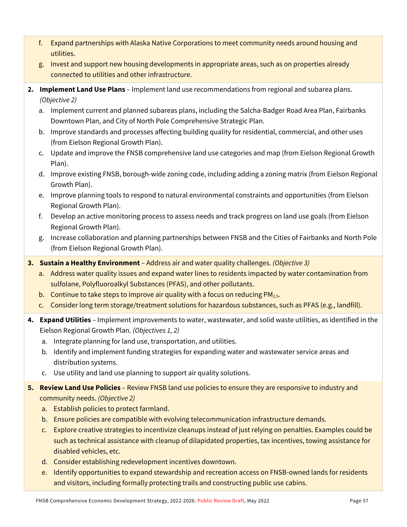- f. Expand partnerships with Alaska Native Corporations to meet community needs around housing and utilities.
- g. Invest and support new housing developments in appropriate areas, such as on properties already connected to utilities and other infrastructure.
- **2. Implement Land Use Plans**  Implement land use recommendations from regional and subarea plans. *(Objective 2)*
	- a. Implement current and planned subareas plans, including the Salcha-Badger Road Area Plan, Fairbanks Downtown Plan, and City of North Pole Comprehensive Strategic Plan.
	- b. Improve standards and processes affecting building quality for residential, commercial, and other uses (from Eielson Regional Growth Plan).
	- c. Update and improve the FNSB comprehensive land use categories and map (from Eielson Regional Growth Plan).
	- d. Improve existing FNSB, borough-wide zoning code, including adding a zoning matrix (from Eielson Regional Growth Plan).
	- e. Improve planning tools to respond to natural environmental constraints and opportunities (from Eielson Regional Growth Plan).
	- f. Develop an active monitoring process to assess needs and track progress on land use goals (from Eielson Regional Growth Plan).
	- g. Increase collaboration and planning partnerships between FNSB and the Cities of Fairbanks and North Pole (from Eielson Regional Growth Plan).
- **3. Sustain a Healthy Environment**  Address air and water quality challenges. *(Objective 3)*
	- a. Address water quality issues and expand water lines to residents impacted by water contamination from sulfolane, Polyfluoroalkyl Substances (PFAS), and other pollutants.
	- b. Continue to take steps to improve air quality with a focus on reducing  $PM_{2.5}$ .
	- c. Consider long term storage/treatment solutions for hazardous substances, such as PFAS (e.g., landfill).
- **4. Expand Utilities**  Implement improvements to water, wastewater, and solid waste utilities, as identified in the Eielson Regional Growth Plan. *(Objectives 1, 2)*
	- a. Integrate planning for land use, transportation, and utilities.
	- b. Identify and implement funding strategies for expanding water and wastewater service areas and distribution systems.
	- c. Use utility and land use planning to support air quality solutions.
- **5. Review Land Use Policies** Review FNSB land use policies to ensure they are responsive to industry and community needs. *(Objective 2)*
	- a. Establish policies to protect farmland.
	- b. Ensure policies are compatible with evolving telecommunication infrastructure demands.
	- c. Explore creative strategies to incentivize cleanups instead of just relying on penalties. Examples could be such as technical assistance with cleanup of dilapidated properties, tax incentives, towing assistance for disabled vehicles, etc.
	- d. Consider establishing redevelopment incentives downtown.
	- e. Identify opportunities to expand stewardship and recreation access on FNSB-owned lands for residents and visitors, including formally protecting trails and constructing public use cabins.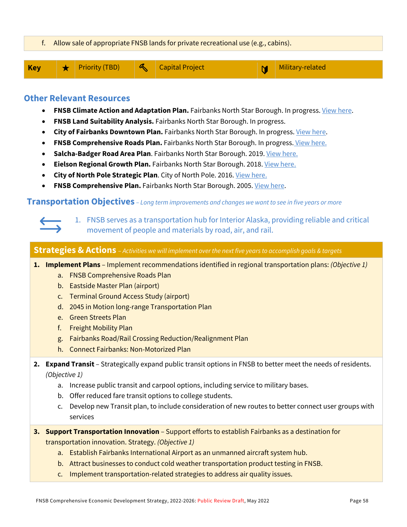

# **Other Relevant Resources**

- **FNSB Climate Action and Adaptation Plan.** Fairbanks North Star Borough. In progress[. View here.](https://co.fairbanks.ak.us/1002/Proposed-FNSB-Climate-Action-and-Adaptat)
- **FNSB Land Suitability Analysis.** Fairbanks North Star Borough. In progress.
- **City of Fairbanks Downtown Plan.** Fairbanks North Star Borough. In progress[. View here.](https://downtownfbx2040.com/)
- **FNSB Comprehensive Roads Plan.** Fairbanks North Star Borough. In progress. [View here.](https://fnsbroadsplan.com/)
- **Salcha-Badger Road Area Plan.** Fairbanks North Star Borough. 2019. View here.
- **Eielson Regional Growth Plan.** Fairbanks North Star Borough. 2018. [View here.](http://www.eafbregionalgrowth.com/)
- **City of North Pole Strategic Plan**. City of North Pole. 2016[. View here.](https://www.northpolealaska.com/sites/default/files/fileattachments/community/page/7095/city_of_north_pole_strategic_plan.pdf)
- **FNSB Comprehensive Plan.** Fairbanks North Star Borough. 2005[. View here.](https://www.co.fairbanks.ak.us/DocumentCenter/View/900/Regional-Comprehensive-Plan-PDF#:%7E:text=The%20Fairbanks%20North%20Star%20(FNSB,evolving%20changes%20natural%20to%20man.)

**Transportation Objectives** *– Long term improvements and changes we want to see in five years or more*

1. FNSB serves as a transportation hub for Interior Alaska, providing reliable and critical movement of people and materials by road, air, and rail.

**Strategies & Actions** – *Activities we will implement over the next five years to accomplish goals & targets*

**1. Implement Plans** – Implement recommendations identified in regional transportation plans: *(Objective 1)*

- a. FNSB Comprehensive Roads Plan
- b. Eastside Master Plan (airport)
- c. Terminal Ground Access Study (airport)
- d. 2045 in Motion long-range Transportation Plan
- e. Green Streets Plan
- f. Freight Mobility Plan
- g. Fairbanks Road/Rail Crossing Reduction/Realignment Plan
- h. Connect Fairbanks: Non-Motorized Plan
- **2. Expand Transit**  Strategically expand public transit options in FNSB to better meet the needs of residents. *(Objective 1)*
	- a. Increase public transit and carpool options, including service to military bases.
	- b. Offer reduced fare transit options to college students.
	- c. Develop new Transit plan, to include consideration of new routes to better connect user groups with services
- **3. Support Transportation Innovation** Support efforts to establish Fairbanks as a destination for transportation innovation. Strategy. *(Objective 1)*
	- a. Establish Fairbanks International Airport as an unmanned aircraft system hub.
	- b. Attract businesses to conduct cold weather transportation product testing in FNSB.
	- c. Implement transportation-related strategies to address air quality issues.